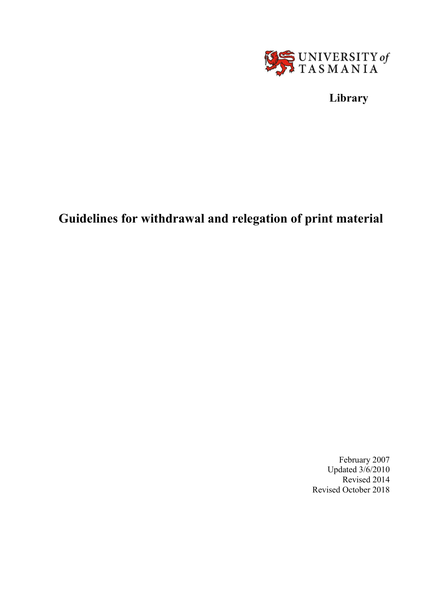

**Library**

# **Guidelines for withdrawal and relegation of print material**

February 2007 Updated 3/6/2010 Revised 2014 Revised October 2018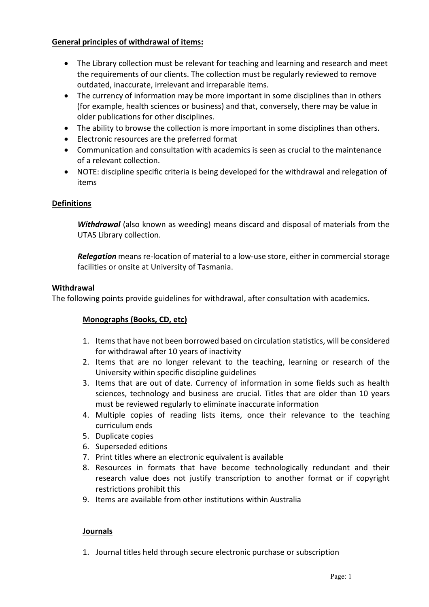# **General principles of withdrawal of items:**

- The Library collection must be relevant for teaching and learning and research and meet the requirements of our clients. The collection must be regularly reviewed to remove outdated, inaccurate, irrelevant and irreparable items.
- The currency of information may be more important in some disciplines than in others (for example, health sciences or business) and that, conversely, there may be value in older publications for other disciplines.
- The ability to browse the collection is more important in some disciplines than others.
- Electronic resources are the preferred format
- Communication and consultation with academics is seen as crucial to the maintenance of a relevant collection.
- NOTE: discipline specific criteria is being developed for the withdrawal and relegation of items

## **Definitions**

*Withdrawal* (also known as weeding) means discard and disposal of materials from the UTAS Library collection.

*Relegation* means re-location of material to a low-use store, either in commercial storage facilities or onsite at University of Tasmania.

### **Withdrawal**

The following points provide guidelines for withdrawal, after consultation with academics.

# **Monographs (Books, CD, etc)**

- 1. Itemsthat have not been borrowed based on circulation statistics, will be considered for withdrawal after 10 years of inactivity
- 2. Items that are no longer relevant to the teaching, learning or research of the University within specific discipline guidelines
- 3. Items that are out of date. Currency of information in some fields such as health sciences, technology and business are crucial. Titles that are older than 10 years must be reviewed regularly to eliminate inaccurate information
- 4. Multiple copies of reading lists items, once their relevance to the teaching curriculum ends
- 5. Duplicate copies
- 6. Superseded editions
- 7. Print titles where an electronic equivalent is available
- 8. Resources in formats that have become technologically redundant and their research value does not justify transcription to another format or if copyright restrictions prohibit this
- 9. Items are available from other institutions within Australia

### **Journals**

1. Journal titles held through secure electronic purchase or subscription